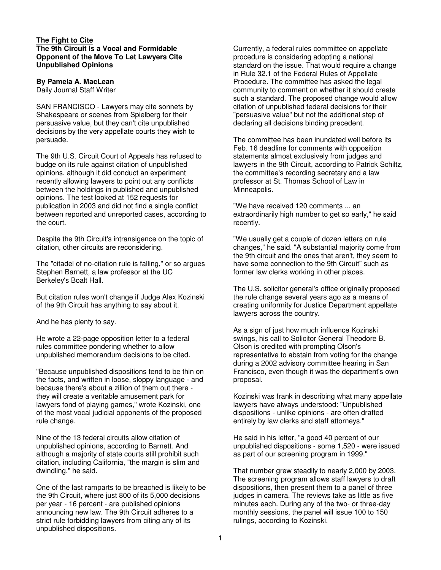## **The Fight to Cite The 9th Circuit Is a Vocal and Formidable Opponent of the Move To Let Lawyers Cite Unpublished Opinions**

## **By Pamela A. MacLean**

Daily Journal Staff Writer

SAN FRANCISCO - Lawyers may cite sonnets by Shakespeare or scenes from Spielberg for their persuasive value, but they can't cite unpublished decisions by the very appellate courts they wish to persuade.

The 9th U.S. Circuit Court of Appeals has refused to budge on its rule against citation of unpublished opinions, although it did conduct an experiment recently allowing lawyers to point out any conflicts between the holdings in published and unpublished opinions. The test looked at 152 requests for publication in 2003 and did not find a single conflict between reported and unreported cases, according to the court.

Despite the 9th Circuit's intransigence on the topic of citation, other circuits are reconsidering.

The "citadel of no-citation rule is falling," or so argues Stephen Barnett, a law professor at the UC Berkeley's Boalt Hall.

But citation rules won't change if Judge Alex Kozinski of the 9th Circuit has anything to say about it.

And he has plenty to say.

He wrote a 22-page opposition letter to a federal rules committee pondering whether to allow unpublished memorandum decisions to be cited.

"Because unpublished dispositions tend to be thin on the facts, and written in loose, sloppy language - and because there's about a zillion of them out there they will create a veritable amusement park for lawyers fond of playing games," wrote Kozinski, one of the most vocal judicial opponents of the proposed rule change.

Nine of the 13 federal circuits allow citation of unpublished opinions, according to Barnett. And although a majority of state courts still prohibit such citation, including California, "the margin is slim and dwindling," he said.

One of the last ramparts to be breached is likely to be the 9th Circuit, where just 800 of its 5,000 decisions per year - 16 percent - are published opinions announcing new law. The 9th Circuit adheres to a strict rule forbidding lawyers from citing any of its unpublished dispositions.

Currently, a federal rules committee on appellate procedure is considering adopting a national standard on the issue. That would require a change in Rule 32.1 of the Federal Rules of Appellate Procedure. The committee has asked the legal community to comment on whether it should create such a standard. The proposed change would allow citation of unpublished federal decisions for their "persuasive value" but not the additional step of declaring all decisions binding precedent.

The committee has been inundated well before its Feb. 16 deadline for comments with opposition statements almost exclusively from judges and lawyers in the 9th Circuit, according to Patrick Schiltz, the committee's recording secretary and a law professor at St. Thomas School of Law in Minneapolis.

"We have received 120 comments ... an extraordinarily high number to get so early," he said recently.

"We usually get a couple of dozen letters on rule changes," he said. "A substantial majority come from the 9th circuit and the ones that aren't, they seem to have some connection to the 9th Circuit" such as former law clerks working in other places.

The U.S. solicitor general's office originally proposed the rule change several years ago as a means of creating uniformity for Justice Department appellate lawyers across the country.

As a sign of just how much influence Kozinski swings, his call to Solicitor General Theodore B. Olson is credited with prompting Olson's representative to abstain from voting for the change during a 2002 advisory committee hearing in San Francisco, even though it was the department's own proposal.

Kozinski was frank in describing what many appellate lawyers have always understood: "Unpublished dispositions - unlike opinions - are often drafted entirely by law clerks and staff attorneys."

He said in his letter, "a good 40 percent of our unpublished dispositions - some 1,520 - were issued as part of our screening program in 1999."

That number grew steadily to nearly 2,000 by 2003. The screening program allows staff lawyers to draft dispositions, then present them to a panel of three judges in camera. The reviews take as little as five minutes each. During any of the two- or three-day monthly sessions, the panel will issue 100 to 150 rulings, according to Kozinski.